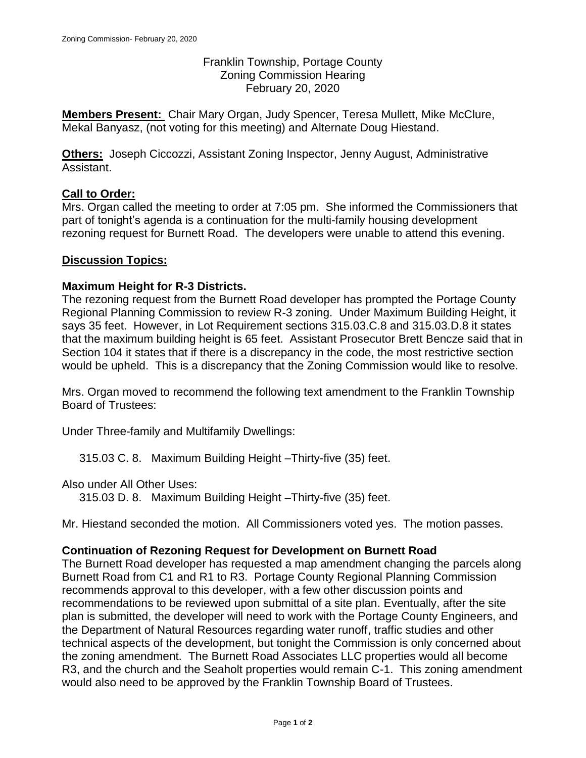Franklin Township, Portage County Zoning Commission Hearing February 20, 2020

**Members Present:** Chair Mary Organ, Judy Spencer, Teresa Mullett, Mike McClure, Mekal Banyasz, (not voting for this meeting) and Alternate Doug Hiestand.

**Others:** Joseph Ciccozzi, Assistant Zoning Inspector, Jenny August, Administrative Assistant.

# **Call to Order:**

Mrs. Organ called the meeting to order at 7:05 pm. She informed the Commissioners that part of tonight's agenda is a continuation for the multi-family housing development rezoning request for Burnett Road. The developers were unable to attend this evening.

## **Discussion Topics:**

## **Maximum Height for R-3 Districts.**

The rezoning request from the Burnett Road developer has prompted the Portage County Regional Planning Commission to review R-3 zoning. Under Maximum Building Height, it says 35 feet. However, in Lot Requirement sections 315.03.C.8 and 315.03.D.8 it states that the maximum building height is 65 feet. Assistant Prosecutor Brett Bencze said that in Section 104 it states that if there is a discrepancy in the code, the most restrictive section would be upheld. This is a discrepancy that the Zoning Commission would like to resolve.

Mrs. Organ moved to recommend the following text amendment to the Franklin Township Board of Trustees:

Under Three-family and Multifamily Dwellings:

315.03 C. 8. Maximum Building Height –Thirty-five (35) feet.

Also under All Other Uses:

315.03 D. 8. Maximum Building Height –Thirty-five (35) feet.

Mr. Hiestand seconded the motion. All Commissioners voted yes. The motion passes.

## **Continuation of Rezoning Request for Development on Burnett Road**

The Burnett Road developer has requested a map amendment changing the parcels along Burnett Road from C1 and R1 to R3. Portage County Regional Planning Commission recommends approval to this developer, with a few other discussion points and recommendations to be reviewed upon submittal of a site plan. Eventually, after the site plan is submitted, the developer will need to work with the Portage County Engineers, and the Department of Natural Resources regarding water runoff, traffic studies and other technical aspects of the development, but tonight the Commission is only concerned about the zoning amendment. The Burnett Road Associates LLC properties would all become R3, and the church and the Seaholt properties would remain C-1. This zoning amendment would also need to be approved by the Franklin Township Board of Trustees.